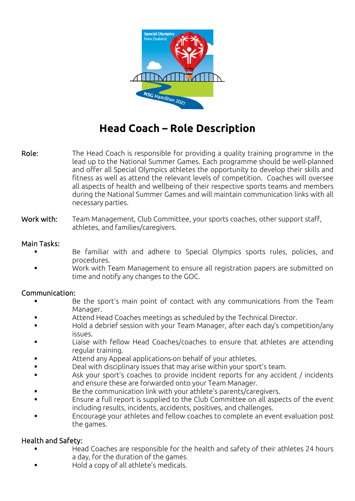

# **Head Coach – Role Description**

Role: The Head Coach is responsible for providing a quality training programme in the lead up to the National Summer Games. Each programme should be well-planned and offer all Special Olympics athletes the opportunity to develop their skills and fitness as well as attend the relevant levels of competition. Coaches will oversee all aspects of health and wellbeing of their respective sports teams and members during the National Summer Games and will maintain communication links with all necessary parties.

## Work with: Team Management, Club Committee, your sports coaches, other support staff, athletes, and families/caregivers.

## Main Tasks:

- Be familiar with and adhere to Special Olympics sports rules, policies, and procedures.
- Work with Team Management to ensure all registration papers are submitted on time and notify any changes to the GOC.

## Communication:

- Be the sport's main point of contact with any communications from the Team Manager.
- Attend Head Coaches meetings as scheduled by the Technical Director.
- Hold a debrief session with your Team Manager, after each day's competition/any issues.
- Liaise with fellow Head Coaches/coaches to ensure that athletes are attending regular training.
- Attend any Appeal applications on behalf of your athletes.
- Deal with disciplinary issues that may arise within your sport's team.
- Ask your sport's coaches to provide incident reports for any accident / incidents and ensure these are forwarded onto your Team Manager.
- Be the communication link with your athlete's parents/caregivers.
- Ensure a full report is supplied to the Club Committee on all aspects of the event including results, incidents, accidents, positives, and challenges.
- Encourage your athletes and fellow coaches to complete an event evaluation post the games.

# Health and Safety:

- Head Coaches are responsible for the health and safety of their athletes 24 hours a day, for the duration of the games.
- Hold a copy of all athlete's medicals.